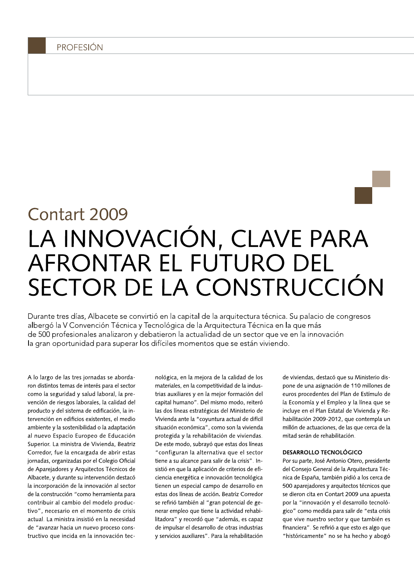# Contart 2009 LA INNOVACIÓN, CLAVE PARA AFRONTAR EL FUTURO DEL SECTOR DE LA CONSTRUCCIÓN

Durante tres días, Albacete se convirtió en la capital de la arquitectura técnica. Su palacio de congresos albergó la V Convención Técnica y Tecnológica de la Arquitectura Técnica en la que más de 500 profesionales analizaron y debatieron la actualidad de un sector que ve en la innovación la gran oportunidad para superar los difíciles momentos que se están viviendo.

A lo largo de las tres jornadas se abordaron distintos temas de interés para el sector como la seguridad y salud laboral, la prevención de riesgos laborales, la calidad del producto y del sistema de edificación, la intervención en edificios existentes, el medio ambiente y la sostenibilidad o la adaptación al nuevo Espacio Europeo de Educación Superior. La ministra de Vivienda, Beatriz Corredor, fue la encargada de abrir estas jornadas, organizadas por el Colegio Oficial de Aparejadores y Arquitectos Técnicos de Albacete, y durante su intervención destacó la incorporación de la innovación al sector de la construcción "como herramienta para contribuir al cambio del modelo productivo", necesario en el momento de crisis actual. La ministra insistió en la necesidad de "avanzar hacia un nuevo proceso constructivo que incida en la innovación tecnológica, en la mejora de la calidad de los materiales, en la competitividad de la industrias auxiliares y en la mejor formación del capital humano". Del mismo modo, reiteró las dos líneas estratégicas del Ministerio de Vivienda ante la "coyuntura actual de difícil situación económica", como son la vivienda protegida y la rehabilitación de viviendas. De este modo, subrayó que estas dos líneas "configuran la alternativa que el sector tiene a su alcance para salir de la crisis". Insistió en que la aplicación de criterios de eficiencia energética e innovación tecnológica tienen un especial campo de desarrollo en estas dos líneas de acción. Beatriz Corredor se refirió también al "gran potencial de generar empleo que tiene la actividad rehabilitadora" y recordó que "además, es capaz de impulsar el desarrollo de otras industrias y servicios auxiliares". Para la rehabilitación

de viviendas, destacó que su Ministerio dispone de una asignación de 110 millones de euros procedentes del Plan de Estímulo de la Economía y el Empleo y la línea que se incluye en el Plan Estatal de Vivienda y Rehabilitación 2009-2012, que contempla un millón de actuaciones, de las que cerca de la mitad serán de rehabilitación.

#### **DESARROLLO TECNOLÓGICO**

Por su parte, José Antonio Otero, presidente del Consejo General de la Arquitectura Técnica de España, también pidió a los cerca de 500 aparejadores y arquitectos técnicos que se dieron cita en Contart 2009 una apuesta por la "innovación y el desarrollo tecnológico" como medida para salir de "esta crisis que vive nuestro sector y que también es financiera". Se refirió a que esto es algo que "históricamente" no se ha hecho y abogó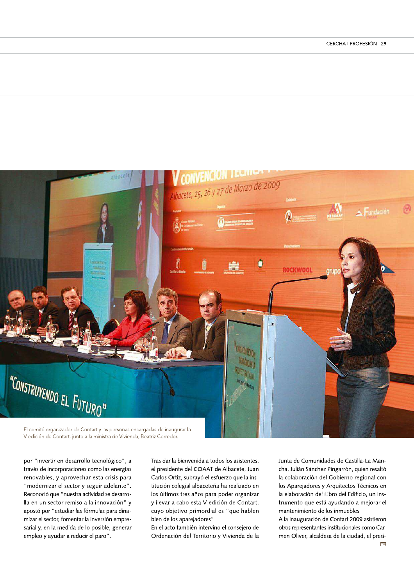

V edición de Contart, junto a la ministra de Vivienda, Beatriz Corredor.

por "invertir en desarrollo tecnológico", a través de incorporaciones como las energías renovables, y aprovechar esta crisis para "modernizar el sector y seguir adelante". Reconoció que "nuestra actividad se desarrolla en un sector remiso a la innovación" y apostó por "estudiar las fórmulas para dinamizar el sector, fomentar la inversión empresarial y, en la medida de lo posible, generar empleo y ayudar a reducir el paro".

Tras dar la bienvenida a todos los asistentes, el presidente del COAAT de Albacete, Juan Carlos Ortiz, subrayó el esfuerzo que la institución colegial albaceteña ha realizado en los últimos tres años para poder organizar y llevar a cabo esta V edición de Contart, cuyo objetivo primordial es "que hablen bien de los aparejadores".

En el acto también intervino el consejero de Ordenación del Territorio y Vivienda de la Junta de Comunidades de Castilla-La Mancha, Julián Sánchez Pingarrón, quien resaltó la colaboración del Gobierno regional con los Aparejadores y Arquitectos Técnicos en la elaboración del Libro del Edificio, un instrumento que está ayudando a mejorar el mantenimiento de los inmuebles.

A la inauguración de Contart 2009 asistieron otros representantes institucionales como Carmen Oliver, alcaldesa de la ciudad, el presi- $\overline{\phantom{a}}$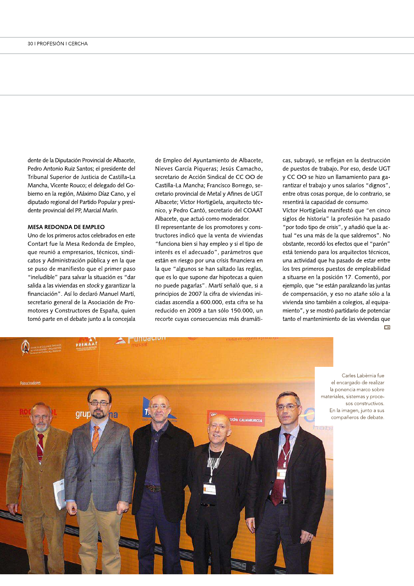dente de la Diputación Provincial de Albacete, Pedro Antonio Ruiz Santos; el presidente del Tribunal Superior de Justicia de Castilla-La Mancha, Vicente Rouco; el delegado del Gobierno en la región, Maximo Díaz Cand dente de la Diputación Provincial de Albacete, de Empleo c<br>
Pedro Antonio Ruiz Santos; el presidente del Mieves Garc<br>
Tribunal Superior de Justicia de Castilla-La secretario de<br>
Mancha, Vicente Rouco; el delegado del Go-<br> tado regional del Partido Popula dente de la Diputación Provincial de Albacete, de Emple<br>
Pedro Antonio Ruiz Santos; el presidente del Nieves (<br>
Tribunal Superior de Justicia de Castilla-La secretarie<br>
Mancha, Vicente Rouco; el delegado del Go-<br>
Castillate provincial del PP, Marcial Marin.

#### MESA REDONDA DE EMPLEO

Uno de los primeros actos celebrados en este Contart fue la Mésa Redonda de Empléo, que reunio a empresarios, tecnicos, sino dente provincial del PP, Marcial Marín.<br>
MESA REDONDA DE EMPLEO<br>
Uno de los primeros actos celebrados en este<br>
Contart fue la Mesa Redonda de Empleo,<br>
que reunió a empresarios, técnicos, sindi-<br>
catos y Administración públ istración publica y en la que ovincial del PP, Marcial Marín.<br>
EDONDA DE EMPLEO El re<br>
os primeros actos celebrados en este<br>
fue la Mesa Redonda de Empleo, "fun<br>
nió a empresarios, técnicos, sindi-<br>
inter<br>
Administración pública y en la que están<br>
de m se puso de manífiesto que el primer paso "ineludible" para salvar la situación es "dar salida a las viviendas en *stock* y garantizar la Uno de los primeros actos celebrados en este trucido de los primeros actos celebrados en este trucido de Empleo, "fun que reunió a empresarios, técnicos, sindicatos y Administración pública y en la que está se puso de mani financiación". Así lo declaro Manuel Martí, secretario general de la Asociación de Prode calibe d'empresante, comme des viens de la proposante de la présenction de la présenction de la présenction de la présenction de la Asociación d'Associación d'Associación d'Associación d'Associación d'Associación d'Asso structores de Espana, quien tomo parte en el debate junto a la concejala

de Empleo del Ayuntamiento de Albace<br>Nieves García Piqueras; Jesús Camach<br>secretario de Acción Sindical de CC OO<br>Castilla-La Mancha; Francisco Borrego,<br>cretario provincial de Metal y Afines de U<br>Albacete; Víctor Hortigüela ntamiento de Albacete, Nievės Garcia Piqueras; Jesus Camacho, secretario de Acción Sindical de CC OO de Castilla-La Mancha; Francisco Borrego, secretario provincial de Metal y Afines de UGT Empleo del Ayuntamiento de Albacete,<br>ves García Piqueras; Jesús Camacho,<br>retario de Acción Sindical de CC OO de<br>tilla-La Mancha; Francisco Borrego, se-<br>ario provincial de Metal y Afines de UGT<br>acete; Víctor Hortigüela, arq Albacete; Victor Hortiguela, arquitecto tecnico, y Pedro Canto, secretario del COAAT e Albacete, de Empleo del Ayuntamiento<br>
sidente del Nieves García Piqueras; Jes<br>
Castilla-La secretario de Acción Sindical<br>
do del Go- Castilla-La Mancha; Francisco<br>
Cano, y el cretario provincial de Metal y,<br>
silar y pres Albacete, que actuo como moderador.

El representante de los promotores y cons-Exerción Sindical de CC OO de y CC OO de y CC OO de y CC OO de y CC OO de y CC OO de y CC OO de y CC OO de y CC OO de y CC OO de y CC OO de xincial de Metal y Afines de UGT entre otro contó, secretario del COAAT Víctor He tructores indico que la venta de viviendas " funciona bien s casana La Maniena, Maniesco Bonego, se cretario provincial de Metal y Afines de UGT en<br>
Albacete; Víctor Hortigüela, arquitecto téc-<br>
nico, y Pedro Cantó, secretario del COAAT Víd<br>
Albacete, que actuó como moderador. sig<br> teres es el adecuado", parametros que estan en riesgo por una crisis financiera en ia que "algunos se han saltado las reglas, que es lo que supone dar hipotecas a quien no puede pagarias". Marti senalo que, si a principios de 2007 la citra de viviendas iniciadas ascendia a 600.000, está cifra se ha reducido en 2009 a tañ solo 150.000, un recorte cuyas consecuencias mas dramatia que estan en la grande de la grande de la grande de la grande de la grande de la grande de la grande de la grande de la grande de la grande de la grande de la grande de la grande de la grande de la grande de la grande de

cas, subrayo, se reflejan en la destrucción acete, cas, subrayó, se reflejan en la de<br>
acho, de puestos de trabajo. Por eso, de<br>
y CC OO se hizo un llamamiento<br>
o, se-<br>
rantizar el trabajo y unos salarios<br>
entre otras cosas porque, de lo cor<br>
resentirá la capacidad de puestos de trabajo. Por eso, desde UGT to de Albacete, cas, subrayó, se reflejan en la destrucción<br>
esús Camacho, de puestos de trabajo. Por eso, desde UGT<br>
al de CC OO de y CC OO se hizo un llamamiento para ga-<br>
rantizar el trabajo y unos salarios "dignos",<br>
e n liamamiento para garantizar el trabajo y unos salarios "dígnos", cas, subrayó, se reflejan en la destrucció<br>de puestos de trabajo. Por eso, desde UG<br>y CC OO se hizo un llamamiento para ga<br>rantizar el trabajo y unos salarios "dignos"<br>entre otras cosas porque, de lo contrario, s<br>resentirá entre otras cosas porque, de lo contrario, se resentira la capacidad de consun

resentira la capacidad de consumo.<br>Víctor Hortigüela manifestó que "en cinco siglos de historia" la profesión ha pasado se passas de adadjo: i or esse, assas de la passas de adadjo: i or esse, assas de la passaritzar el trabajo y unos salarios "dignos",<br>entre otras cosas porque, de lo contrario, se<br>resentirá la capacidad de consumo.<br>Víctor "por todo tipo de crisis", y añadió que la actual "es una mas de la que saldremos". No obstante, recordo los efectos que el "paron" esta teniendo para los arquitectos tecnicos, una actividad que ha pasado de estar entre los tres primeros puestos de empleabilidad a situarse en la posición 17. Comento, por ejempio, que "se estan paralizando las juntas de compensación, y eso no atañe solo a la dadas de la que salabrelles de la procesión de la provincia de la provincia de la provincia de la provincia de<br>
está teniendo para los arquitectos técnicos, una actividad que ha pasado de estar entre los tres primeros pues vivienda sino también a colegios, al équipamiento" , y se mostro partidario de potenciar besided to the the particle parallel and paradote science per estable the una actividad que ha pasado de estar entreglas,<br>
los tres primeros puestos de empleabilid<br>
a situarse en la posición 17. Comentó, p<br>
e, si a ejemplo tanto el mantenimiento de las viviendas que



Carles Labèrnia fue el encargado de realizar la ponencia marco sobre materiales, sistemas y procesos constructivos. En la imagen, junto a sus compañeros de debate.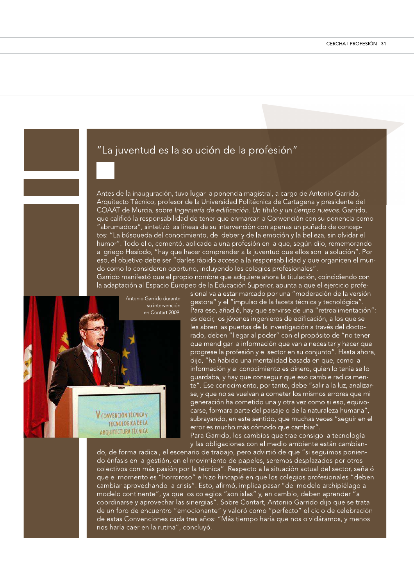## "La juventud es la solución de la profesión"

Antes de la inauguración, tuvo lugar la ponencia magistral, a cargo de Antonio Garrido, Arquitecto Técnico, profesor de la Universidad Politécnica de Cartagena y presidente del COAAT de Murcia, sobre Ingeniería de edificación. Un título y un tiempo nuevos. Garrido, que calificó la responsabilidad de tener que enmarcar la Convención con su ponencia como "abrumadora", sintetizó las líneas de su intervención con apenas un puñado de conceptos: "La búsqueda del conocimiento, del deber y de la emoción y la belleza, sin olvidar el humor". Todo ello, comentó, aplicado a una profesión en la que, según dijo, rememorando al griego Hesíodo, "hay que hacer comprender a la juventud que ellos son la solución". Por eso, el objetivo debe ser "darles rápido acceso a la responsabilidad y que organicen el mundo como lo consideren oportuno, incluyendo los colegios profesionales".

Garrido manifestó que el propio nombre que adquiere ahora la titulación, coincidiendo con la adaptación al Espacio Europeo de la Educación Superior, apunta a que el ejercicio profe-

> Antonio Garrido durante su intervención en Contart 2009.

V CONVENCIÓN TÉCNICA y **TECNOLÓGICA DE LA ARQUITECTURA TÉCNICA**  sional va a estar marcado por una "moderación de la versión gestora" y el "impulso de la faceta técnica y tecnológica". Para eso, añadió, hay que servirse de una "retroalimentación": es decir, los jóvenes ingenieros de edificación, a los que se les abren las puertas de la investigación a través del doctorado, deben "llegar al poder" con el propósito de "no tener que mendigar la información que van a necesitar y hacer que progrese la profesión y el sector en su conjunto". Hasta ahora, dijo, "ha habido una mentalidad basada en que, como la información y el conocimiento es dinero, quien lo tenía se lo guardaba, y hay que conseguir que eso cambie radicalmente". Ese conocimiento, por tanto, debe "salir a la luz, analizarse, y que no se vuelvan a cometer los mismos errores que mi generación ha cometido una y otra vez como si eso, equivocarse, formara parte del paisaje o de la naturaleza humana" subrayando, en este sentido, que muchas veces "seguir en el error es mucho más cómodo que cambiar".

Para Garrido, los cambios que trae consigo la tecnología y las obligaciones con el medio ambiente están cambian-

do, de forma radical, el escenario de trabajo, pero advirtió de que "si seguimos poniendo énfasis en la gestión, en el movimiento de papeles, seremos desplazados por otros colectivos con más pasión por la técnica". Respecto a la situación actual del sector, señaló que el momento es "horroroso" e hizo hincapié en que los colegios profesionales "deben cambiar aprovechando la crisis". Esto, afirmó, implica pasar "del modelo archipiélago al modelo continente", ya que los colegios "son islas" y, en cambio, deben aprender "a coordinarse y aprovechar las sinergias". Sobre Contart, Antonio Garrido dijo que se trata de un foro de encuentro "emocionante" y valoró como "perfecto" el ciclo de celebración<br>de estas Convenciones cada tres años: "Más tiempo haría que nos olvidáramos, y menos nos haría caer en la rutina", concluyó.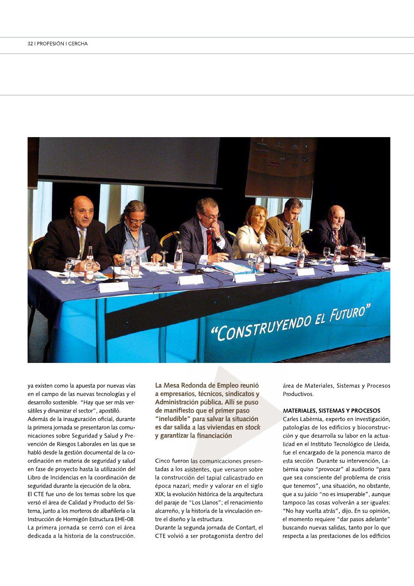

ya existen como la apuesta por nuevas vías en el campo de las nuevas tecnologías y el desarrollo sostenible. "Hay que ser más versátiles y dinamizar el sector", apostilló.

Además de la inauguración oficial, durante la primera jornada se presentaron las comunicaciones sobre Seguridad y Salud y Prevención de Riesgos Laborales en las que se habló desde la gestión documental de la coordinación en materia de seguridad y salud en fase de proyecto hasta la utilización del Libro de Incidencias en la coordinación de seguridad durante la ejecución de la obra. El CTE fue uno de los temas sobre los que versó el área de Calidad y Producto del Sistema, junto a los morteros de albañilería o la Instrucción de Hormigón Estructura EHE-08. La primera jornada se cerró con el área

dedicada a la historia de la construcción.

La Mesa Redonda de Empleo reunió a empresarios, técnicos, sindicatos y Administración pública. Allí se puso de manifiesto que el primer paso "ineludible" para salvar la situación es dar salida a las viviendas en stock y garantizar la financiación

Cinco fueron las comunicaciones presentadas a los asistentes, que versaron sobre la construcción del tapial calicastrado en época nazarí; medir y valorar en el siglo XIX; la evolución histórica de la arquitectura del paraje de "Los Llanos"; el renacimiento alcarreño, y la historia de la vinculación entre el diseño y la estructura.

Durante la segunda jornada de Contart, el CTE volvió a ser protagonista dentro del área de Materiales, Sistemas y Procesos Productivos.

#### **MATERIALES, SISTEMAS Y PROCESOS**

Carles Labèrnia, experto en investigación, patologías de los edificios y bioconstrucción y que desarrolla su labor en la actualidad en el Instituto Tecnológico de Lleida, fue el encargado de la ponencia marco de esta sección. Durante su intervención, Labèrnia quiso "provocar" al auditorio "para que sea consciente del problema de crisis que tenemos", una situación, no obstante, que a su juicio "no es insuperable", aunque tampoco las cosas volverán a ser iguales: "No hay vuelta atrás", dijo. En su opinión, el momento requiere "dar pasos adelante" buscando nuevas salidas, tanto por lo que respecta a las prestaciones de los edificios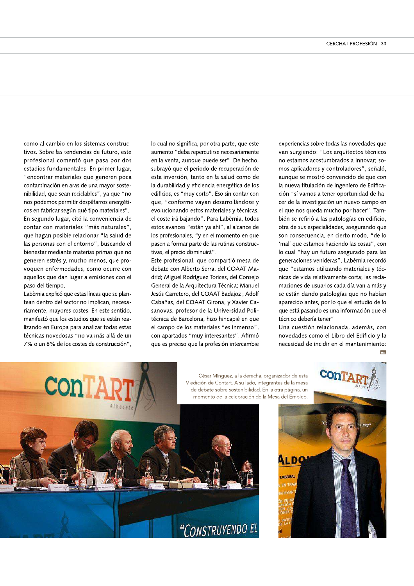como al cambio en los sistemas construçtivos. Sobre las tendencias de futuro, este profesional comentó que pasa por dos estadios fundamentales. En primer lugar, "encontrar materiales que generen poca contaminación en aras de una mayor sostenibilidad, que sean reciclables", ya que "no nos podemos permitir despilfarros energéticos en fabricar según qué tipo materiales". En segundo lugar, citó la conveniencia de contar con materiales "más naturales", que hagan posible relacionar "la salud de las personas con el entorno", buscando el bienestar mediante materias primas que no generen estrés y, mucho menos, que pro-

voquen enfermedades, como ocurre con aquellos que dan lugar a emisiones con el paso del tiempo.

Labèrnia explicó que estas líneas que se plantean dentro del sector no implican, necesariamente, mayores costes. En este sentido, manifestó que los estudios que se están realizando en Europa para analizar todas estas técnicas novedosas "no va más allá de un 7% o un 8% de los costes de construcción", lo cual no significa, por otra parte, que este aumento "deba repercutirse necesariamente en la venta, aunque puede ser". De hecho, subrayó que el periodo de recuperación de esta inversión, tanto en la salud como de la durabilidad y eficiencia energética de los edificios, es "muy corto". Eso sin contar con que, "conforme vayan desarrollándose y evolucionando estos materiales y técnicas, el coste irá bajando". Para Labèrnia, todos estos avances "están ya ahí", al alcance de los profesionales, "y en el momento en que pasen a formar parte de las rutinas constructivas, el precio disminuirá".

Este profesional, que compartió mesa de debate con Alberto Serra, del COAAT Madrid; Miguel Rodríguez Torices, del Consejo General de la Arquitectura Técnica; Manuel Jesús Carretero, del COAAT Badajoz ; Adolf Cabañas, del COAAT Girona, y Xavier Casanovas, profesor de la Universidad Politécnica de Barcelona, hizo hincapié en que el campo de los materiales "es inmenso", con apartados "muy interesantes". Afirmó que es preciso que la profesión intercambie experiencias sobre todas las novedades que van surgiendo: "Los arquitectos técnicos no estamos acostumbrados a innovar; somos aplicadores y controladores", señaló, aunque se mostró convencido de que con la nueva titulación de ingeniero de Edificación "sí vamos a tener oportunidad de hacer de la investigación un nuevo campo en el que nos queda mucho por hacer". También se refirió a las patologías en edificio, otra de sus especialidades, asegurando que son consecuencia, en cierto modo, "de lo 'mal' que estamos haciendo las cosas", con lo cual "hay un futuro asegurado para las generaciones venideras". Labèrnia recordó que "estamos utilizando materiales y técnicas de vida relativamente corta; las reclamaciones de usuarios cada día van a más y se están dando patologías que no habían aparecido antes, por lo que el estudio de lo que está pasando es una información que el técnico debería tener".

Una cuestión relacionada, además, con novedades como el Libro del Edificio y la necesidad de incidir en el mantenimiento:  $\overline{\phantom{a}}$ 



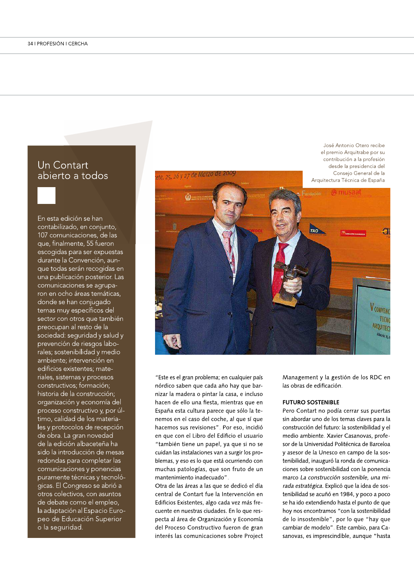### Un Contart abierto a todos

En esta edición se han contabilizado, en conjunto, 107 comunicaciones, de las que, finalmente, 55 fueron escogidas para ser expuestas durante la Convención, aunque todas serán recogidas en una publicación posterior. Las comunicaciones se agruparon en ocho áreas temáticas, donde se han conjugado temas muy específicos del sector con otros que también preocupan al resto de la sociedad: seguridad y salud y prevención de riesgos laborales; sostenibilidad y medio ambiente; intervención en edificios existentes; materiales, sistemas y procesos constructivos; formación; historia de la construcción; organización y economía del proceso constructivo y, por último, calidad de los materiales y protocolos de recepción de obra. La gran novedad de la edición albaceteña ha sido la introducción de mesas redondas para completar las comunicaciones y ponencias puramente técnicas y tecnológicas. El Congreso se abrió a otros colectivos, con asuntos de debate como el empleo, la adaptación al Espacio Europeo de Educación Superior o la seguridad.

Consejo General de la te, 25, 26 y 27 de Marzo de Arquitectura Técnica de España TAO a **V**CONVENC

"Este es el gran problema; en cualquier país nórdico saben que cada año hay que barnizar la madera o pintar la casa, e incluso hacen de ello una fiesta, mientras que en España esta cultura parece que sólo la tenemos en el caso del coche, al que sí que hacemos sus revisiones". Por eso, incidió en que con el Libro del Edificio el usuario "también tiene un papel, ya que si no se cuidan las instalaciones van a surgir los problemas, y eso es lo que está ocurriendo con muchas patologías, que son fruto de un mantenimiento inadecuado".

Otra de las áreas a las que se dedicó el día central de Contart fue la Intervención en Edificios Existentes, algo cada vez más frecuente en nuestras ciudades. En lo que respecta al área de Organización y Economía del Proceso Constructivo fueron de gran interés las comunicaciones sobre Project Management y la gestión de los RDC en las obras de edificación.

José Antonio Otero recibe el premio Arquitrabe por su contribución a la profesión

desde la presidencia del

TECNO

ARQUITEC

#### **FUTURO SOSTENIBLE**

Pero Contart no podía cerrar sus puertas sin abordar uno de los temas claves para la construcción del futuro: la sostenibilidad y el medio ambiente. Xavier Casanovas, profesor de la Universidad Politécnica de Barceloa y asesor de la Unesco en campo de la sostenibilidad, inauguró la ronda de comunicaciones sobre sostenibilidad con la ponencia marco La construcción sostenible, una mirada estratégica. Explicó que la idea de sostenibilidad se acuñó en 1984, y poco a poco se ha ido extendiendo hasta el punto de que hoy nos encontramos "con la sostenibilidad de lo insostenible", por lo que "hay que cambiar de modelo". Este cambio, para Casanovas, es imprescindible, aunque "hasta